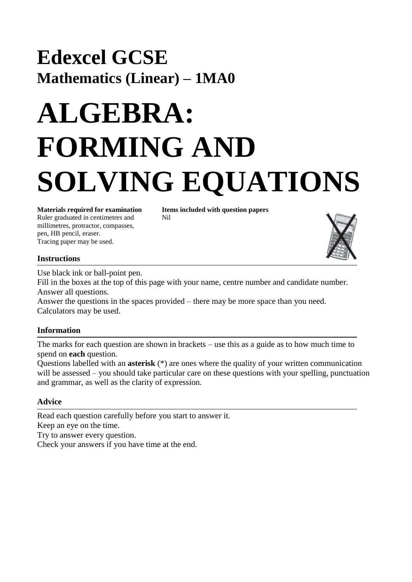## **Edexcel GCSE Mathematics (Linear) – 1MA0**

# **ALGEBRA: FORMING AND SOLVING EQUATIONS**

Ruler graduated in centimetres and Nil millimetres, protractor, compasses, pen, HB pencil, eraser. Tracing paper may be used.

**Materials required for examination Items included with question papers**



#### **Instructions**

Use black ink or ball-point pen.

Fill in the boxes at the top of this page with your name, centre number and candidate number. Answer all questions.

Answer the questions in the spaces provided – there may be more space than you need. Calculators may be used.

#### **Information**

The marks for each question are shown in brackets – use this as a guide as to how much time to spend on **each** question.

Questions labelled with an **asterisk** (\*) are ones where the quality of your written communication will be assessed – you should take particular care on these questions with your spelling, punctuation and grammar, as well as the clarity of expression.

### **Advice**

Read each question carefully before you start to answer it. Keep an eye on the time. Try to answer every question. Check your answers if you have time at the end.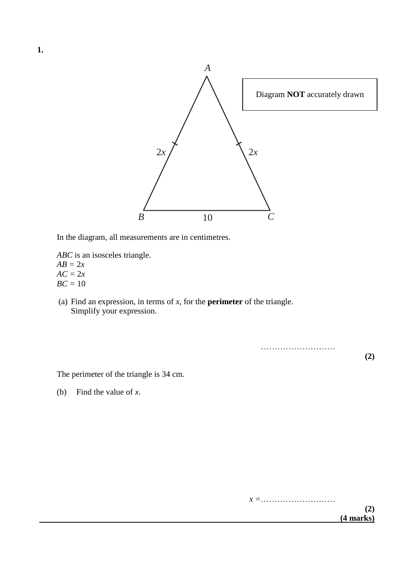

In the diagram, all measurements are in centimetres.

- *ABC* is an isosceles triangle.  $AB = 2x$  $AC = 2x$  $BC = 10$
- (a) Find an expression, in terms of *x*, for the **perimeter** of the triangle. Simplify your expression.

………………………

**(2)**

The perimeter of the triangle is 34 cm.

(b) Find the value of *x*.

**1.**

*x =*……………………… **(2) (4 marks)**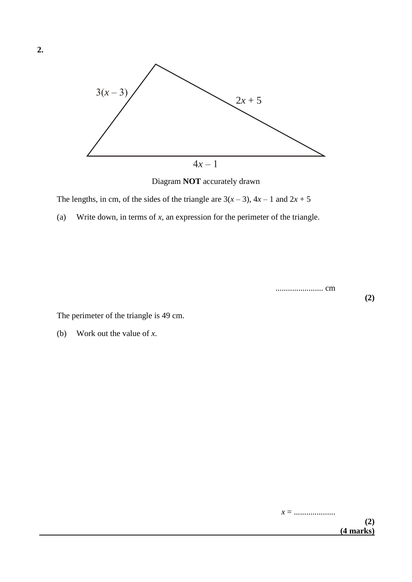

The lengths, in cm, of the sides of the triangle are  $3(x-3)$ ,  $4x-1$  and  $2x+5$ 

(a) Write down, in terms of *x*, an expression for the perimeter of the triangle.

....................... cm

The perimeter of the triangle is 49 cm.

(b) Work out the value of *x*.

**(2)**

*x* = ....................

**2.**

**(2) (4 marks)**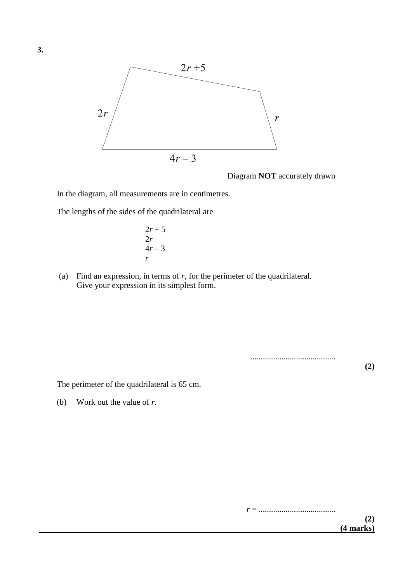

In the diagram, all measurements are in centimetres.

The lengths of the sides of the quadrilateral are

$$
2r+5
$$
  
2r  
4r-3  
r

(a) Find an expression, in terms of *r*, for the perimeter of the quadrilateral. Give your expression in its simplest form.

.........................................

**(2)**

The perimeter of the quadrilateral is 65 cm.

(b) Work out the value of *r*.

*r* = .....................................

**(2) (4 marks)**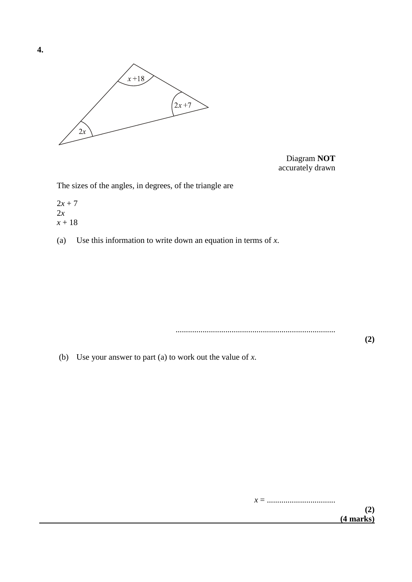

Diagram **NOT** accurately drawn

The sizes of the angles, in degrees, of the triangle are

 $2x + 7$ 2*x x* + 18

(a) Use this information to write down an equation in terms of *x*.

.............................................................................

(b) Use your answer to part (a) to work out the value of *x*.

*x* = ................................. **(2) (4 marks)**

**(2)**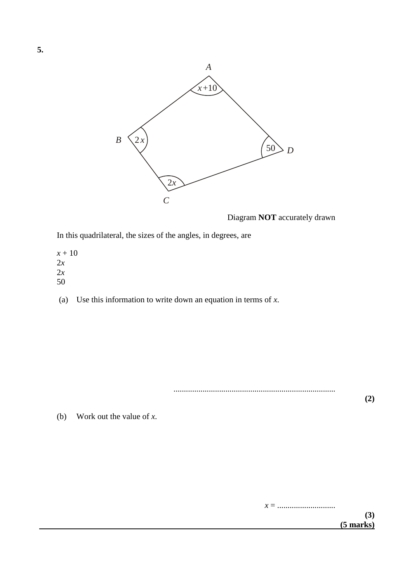

In this quadrilateral, the sizes of the angles, in degrees, are

*x* + 10 2*x* 2*x* 50

(a) Use this information to write down an equation in terms of *x*.

..............................................................................

**(2)**

(b) Work out the value of *x*.

*x* = ............................

**5.**

**(3) (5 marks)**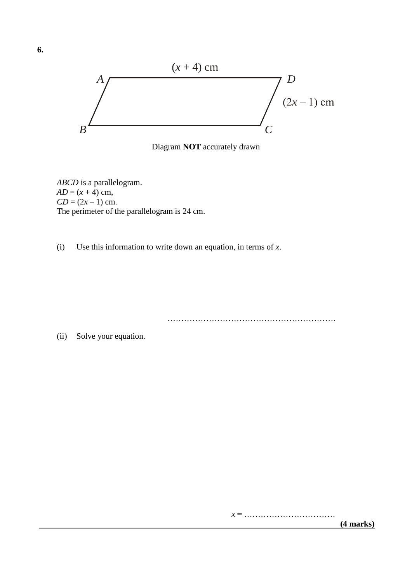

Diagram **NOT** accurately drawn

*ABCD* is a parallelogram.  $AD = (x + 4)$  cm,  $CD = (2x - 1)$  cm. The perimeter of the parallelogram is 24 cm.

(i) Use this information to write down an equation, in terms of *x*.

…………………………………………………….

(ii) Solve your equation.

*x* = ……………………………

 **(4 marks)**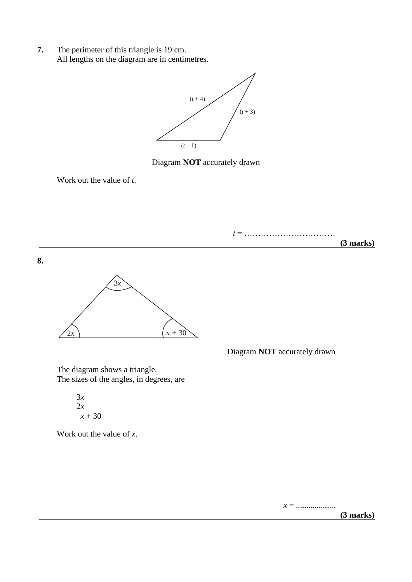**7.** The perimeter of this triangle is 19 cm. All lengths on the diagram are in centimetres.



Diagram **NOT** accurately drawn

Work out the value of *t*.



The diagram shows a triangle. The sizes of the angles, in degrees, are

> 3*x* 2*x*  $x + 30$

Work out the value of *x*.

*x* = ...................

 **(3 marks)**